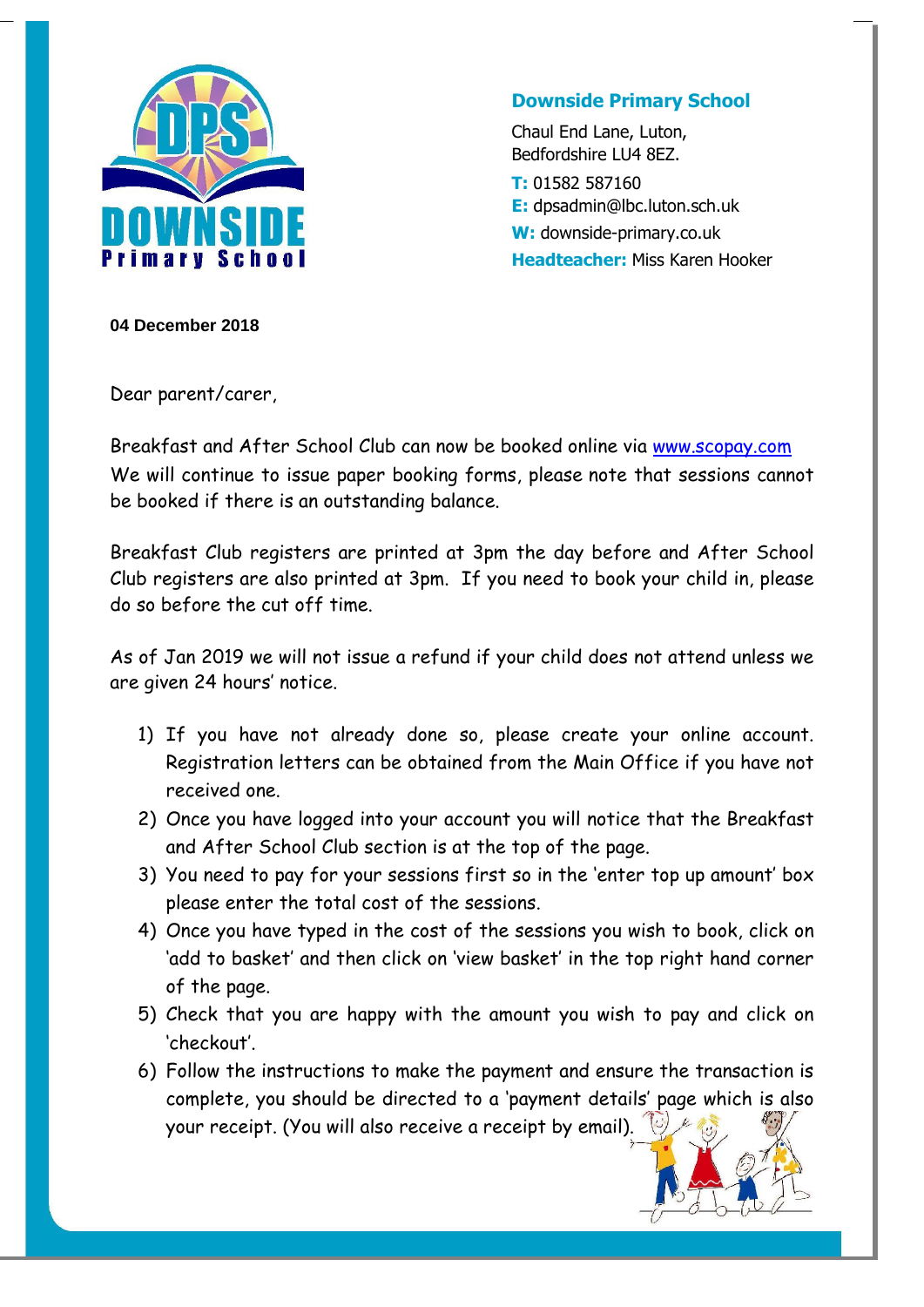

## **Downside Primary School**

Chaul End Lane, Luton, Bedfordshire LU4 8EZ. **T:** 01582 587160 **E:** dpsadmin@lbc.luton.sch.uk **W:** downside-primary.co.uk **Headteacher:** Miss Karen Hooker

**04 December 2018**

Dear parent/carer,

Breakfast and After School Club can now be booked online via [www.scopay.com](http://www.scopay.com/) We will continue to issue paper booking forms, please note that sessions cannot be booked if there is an outstanding balance.

Breakfast Club registers are printed at 3pm the day before and After School Club registers are also printed at 3pm. If you need to book your child in, please do so before the cut off time.

As of Jan 2019 we will not issue a refund if your child does not attend unless we are given 24 hours' notice.

- 1) If you have not already done so, please create your online account. Registration letters can be obtained from the Main Office if you have not received one.
- 2) Once you have logged into your account you will notice that the Breakfast and After School Club section is at the top of the page.
- 3) You need to pay for your sessions first so in the 'enter top up amount' box please enter the total cost of the sessions.
- 4) Once you have typed in the cost of the sessions you wish to book, click on 'add to basket' and then click on 'view basket' in the top right hand corner of the page.
- 5) Check that you are happy with the amount you wish to pay and click on 'checkout'.
- 6) Follow the instructions to make the payment and ensure the transaction is complete, you should be directed to a 'payment details' page which is also your receipt. (You will also receive a receipt by email).